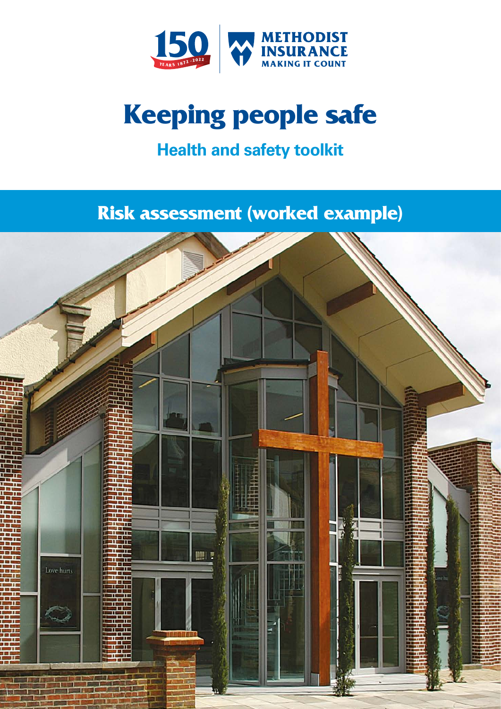

# **Keeping people safe**

# **Health and safety toolkit**

# **Risk assessment (worked example)**

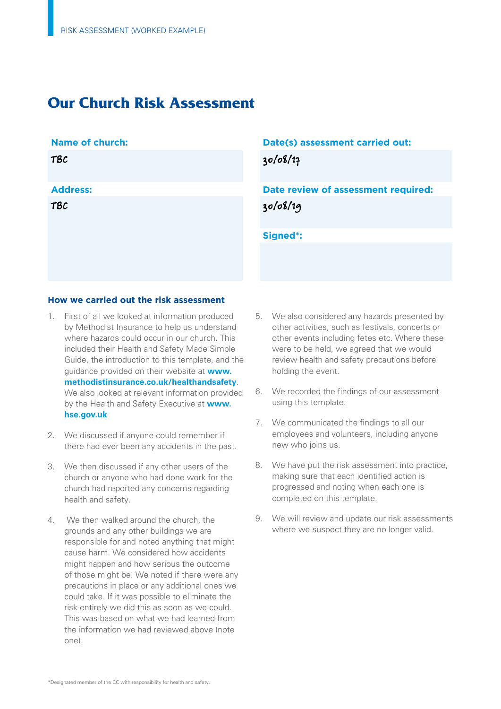# **Our Church Risk Assessment**

### **Name of church:**

| <b>TBC</b>      |  |  |
|-----------------|--|--|
| <b>Address:</b> |  |  |
| <b>TBC</b>      |  |  |
|                 |  |  |

# **Date(s) assessment carried out:**

30/08/17

**Date review of assessment required:**  30/08/19

**Signed\*:** 

### **How we carried out the risk assessment**

- 1. First of all we looked at information produced by Methodist Insurance to help us understand where hazards could occur in our church. This included their Health and Safety Made Simple Guide, the introduction to this template, and the guidance provided on their website at **[www.](www.methodistinsurance.co.uk/healthandsafety)  [methodistinsurance.co.uk/healthandsafety](www.methodistinsurance.co.uk/healthandsafety)**. We also looked at relevant information provided by the Health and Safety Executive at **[www.](http://www.ecclesiastical.com/churchmatters/churchguidance/churchsecurity/theftofmetal/index.aspx%20) [hse.gov.uk](http://www.ecclesiastical.com/churchmatters/churchguidance/churchsecurity/theftofmetal/index.aspx%20)**
- 2. We discussed if anyone could remember if there had ever been any accidents in the past.
- 3. We then discussed if any other users of the church or anyone who had done work for the church had reported any concerns regarding health and safety.
- 4. We then walked around the church, the grounds and any other buildings we are responsible for and noted anything that might cause harm. We considered how accidents might happen and how serious the outcome of those might be. We noted if there were any precautions in place or any additional ones we could take. If it was possible to eliminate the risk entirely we did this as soon as we could. This was based on what we had learned from the information we had reviewed above (note one).
- 5. We also considered any hazards presented by other activities, such as festivals, concerts or other events including fetes etc. Where these were to be held, we agreed that we would review health and safety precautions before holding the event.
- 6. We recorded the findings of our assessment using this template.
- 7. We communicated the findings to all our employees and volunteers, including anyone new who joins us.
- 8. We have put the risk assessment into practice, making sure that each identified action is progressed and noting when each one is completed on this template.
- 9. We will review and update our risk assessments where we suspect they are no longer valid.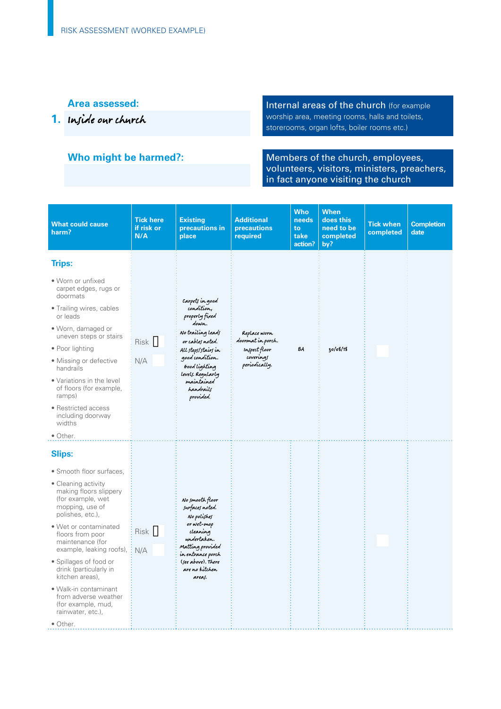**Area assessed: Internal areas of the church** (for example **1.** Inside our church **1. Inside our church** storerooms, organ lofts, boiler rooms etc.)

Who might be harmed?: **Members of the church, employees,** volunteers, visitors, ministers, preachers, in fact anyone visiting the church

| <b>What could cause</b><br>harm?                                                                                                                                                                                                                                                                                                                                                                                                   | <b>Tick here</b><br>if risk or<br>N/A | <b>Existing</b><br>precautions in<br>place                                                                                                                                                                                | <b>Additional</b><br>precautions<br>required                                     | <b>Who</b><br>needs<br>to<br>take<br>action? | <b>When</b><br>does this<br>need to be<br>completed<br>by? | <b>Tick when</b><br>completed | <b>Completion</b><br>date |
|------------------------------------------------------------------------------------------------------------------------------------------------------------------------------------------------------------------------------------------------------------------------------------------------------------------------------------------------------------------------------------------------------------------------------------|---------------------------------------|---------------------------------------------------------------------------------------------------------------------------------------------------------------------------------------------------------------------------|----------------------------------------------------------------------------------|----------------------------------------------|------------------------------------------------------------|-------------------------------|---------------------------|
| <b>Trips:</b><br>• Worn or unfixed<br>carpet edges, rugs or<br>doormats<br>• Trailing wires, cables<br>or leads<br>• Worn, damaged or<br>uneven steps or stairs<br>• Poor lighting<br>• Missing or defective<br>handrails<br>• Variations in the level<br>of floors (for example,<br>ramps)<br>• Restricted access<br>including doorway<br>widths<br>• Other.                                                                      | Risk I<br>N/A                         | Carpets in good<br>condition,<br>properly fixed<br>down.<br>No trailing leads<br>or cables noted.<br>All steps/stairs in<br>good condition.<br>Good lighting<br>levels. Regularly<br>maintained<br>handrails<br>provided. | Replace worn<br>doormat in porch.<br>Inspect floor<br>coverings<br>periodically. | ΒA                                           | 30/08/18                                                   |                               |                           |
| <b>Slips:</b><br>• Smooth floor surfaces,<br>• Cleaning activity<br>making floors slippery<br>(for example, wet<br>mopping, use of<br>polishes, etc.),<br>• Wet or contaminated<br>floors from poor<br>maintenance (for<br>example, leaking roofs),<br>• Spillages of food or<br>drink (particularly in<br>kitchen areas),<br>• Walk-in contaminant<br>from adverse weather<br>(for example, mud,<br>rainwater, etc.),<br>• Other. | Risk<br>N/A                           | No smooth floor<br>surfaces noted.<br>No polishes<br>or wet-mop<br>cleaning<br>undertaken.<br>Matting provided<br>in entrance porch<br>(see above). There<br>are no kitchen<br>areas.                                     |                                                                                  |                                              |                                                            |                               |                           |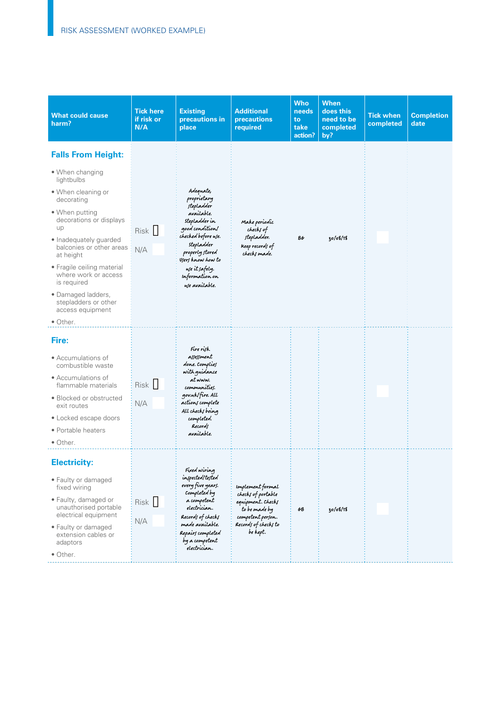| <b>What could cause</b><br>harm?                                                                                                                                                                                                                                                                                                                                        | <b>Tick here</b><br>if risk or<br>N/A | <b>Existing</b><br>precautions in<br>place                                                                                                                                                                                  | <b>Additional</b><br><b>precautions</b><br>required                                                                                          | <b>Who</b><br>needs<br>to<br>take<br>action? | When<br>does this<br>need to be<br>completed<br>by? | <b>Tick when</b><br>completed | <b>Completion</b><br>date |
|-------------------------------------------------------------------------------------------------------------------------------------------------------------------------------------------------------------------------------------------------------------------------------------------------------------------------------------------------------------------------|---------------------------------------|-----------------------------------------------------------------------------------------------------------------------------------------------------------------------------------------------------------------------------|----------------------------------------------------------------------------------------------------------------------------------------------|----------------------------------------------|-----------------------------------------------------|-------------------------------|---------------------------|
| <b>Falls From Height:</b><br>• When changing<br>lightbulbs<br>• When cleaning or<br>decorating<br>• When putting<br>decorations or displays<br>up<br>• Inadequately guarded<br>balconies or other areas<br>at height<br>• Fragile ceiling material<br>where work or access<br>is required<br>• Damaged ladders,<br>stepladders or other<br>access equipment<br>• Other. | Risk<br>N/A                           | Adequate,<br>proprietary<br>stepladder<br>available.<br>stepladder in<br>good condition/<br>checked before use.<br>stepladder<br>properly stored<br>Users know how to<br>use it safely.<br>Information on<br>use available. | Make periodic<br>checks of<br>stepladder.<br>Keep records of<br>checks made.                                                                 | 86                                           | 30/08/18                                            |                               |                           |
| Fire:<br>• Accumulations of<br>combustible waste<br>• Accumulations of<br>flammable materials<br>• Blocked or obstructed<br>exit routes<br>• Locked escape doors<br>• Portable heaters<br>$\bullet$ Other.                                                                                                                                                              | Risk   <br>N/A                        | Fire rijk<br>assessment<br>done. Complies<br>with guidance<br>at www.<br>communities.<br>gov.uk/fire. All<br>actions complete<br>All checks being<br>completed.<br>Records<br>available.                                    |                                                                                                                                              |                                              |                                                     |                               |                           |
| <b>Electricity:</b><br>• Faulty or damaged<br>fixed wiring<br>• Faulty, damaged or<br>unauthorised portable<br>electrical equipment<br>• Faulty or damaged<br>extension cables or<br>adaptors<br>• Other.                                                                                                                                                               | Risk   <br>N/A                        | Fixed wiring<br>inspected/tested<br>every five years.<br>Completed by<br>a competent<br>electrician.<br>Records of checks<br>made available.<br>Repairs completed<br>by a competent<br>electrician.                         | <b>Implement</b> formal<br>checks of portable<br>equipment. Checks<br>to be made by<br>competent person.<br>Records of checks to<br>be kept. | GΒ                                           | 30/08/18                                            |                               |                           |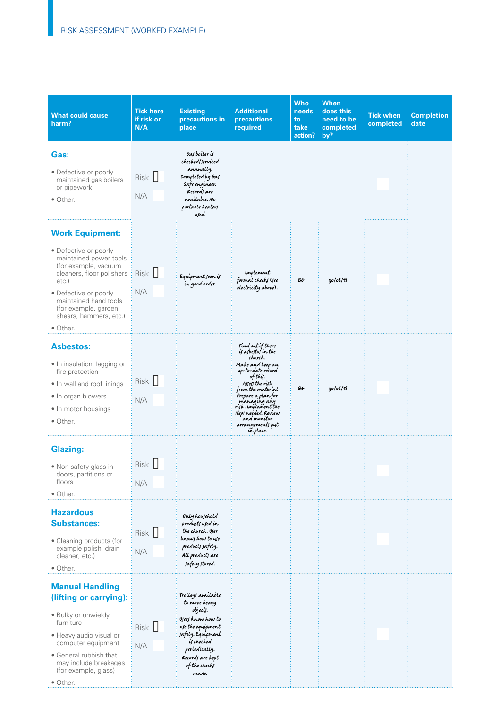| <b>What could cause</b><br>harm?                                                                                                                                                                                                                           | <b>Tick here</b><br>if risk or<br>N/A | <b>Existing</b><br>precautions in<br>place                                                                                                                                                  | <b>Additional</b><br>precautions<br>required                                                                                                                                                                                                                                         | <b>Who</b><br>needs<br>to<br>take<br>action? | <b>When</b><br>does this<br>need to be<br>completed<br>by? | <b>Tick when</b><br>completed | <b>Completion</b><br>date |
|------------------------------------------------------------------------------------------------------------------------------------------------------------------------------------------------------------------------------------------------------------|---------------------------------------|---------------------------------------------------------------------------------------------------------------------------------------------------------------------------------------------|--------------------------------------------------------------------------------------------------------------------------------------------------------------------------------------------------------------------------------------------------------------------------------------|----------------------------------------------|------------------------------------------------------------|-------------------------------|---------------------------|
| Gas:<br>• Defective or poorly<br>maintained gas boilers<br>or pipework<br>• Other.                                                                                                                                                                         | Risk  <br>N/A                         | Gas boiler is<br>checked/serviced<br>annually.<br>Completed by Gas<br>Safe engineer.<br>Records are<br>available. No<br>portable heaters<br>used.                                           |                                                                                                                                                                                                                                                                                      |                                              |                                                            |                               |                           |
| <b>Work Equipment:</b><br>• Defective or poorly<br>maintained power tools<br>(for example, vacuum<br>cleaners, floor polishers<br>$etc.$ )<br>• Defective or poorly<br>maintained hand tools<br>(for example, garden<br>shears, hammers, etc.)<br>• Other. | Risk  <br>N/A                         | Equipment seen is<br>in good order.                                                                                                                                                         | Implement<br>formal checks (see<br>electricity above).                                                                                                                                                                                                                               | 86                                           | 30/08/18                                                   |                               |                           |
| <b>Asbestos:</b><br>• In insulation, lagging or<br>fire protection<br>. In wall and roof linings<br>• In organ blowers<br>• In motor housings<br>• Other.                                                                                                  | Risk    <br>N/A                       |                                                                                                                                                                                             | Find out if there<br>is asbestos in the<br>church.<br>Make and keep an<br>np-to-date record<br>of this.<br>Assess the risk<br>from the material<br>Prepare a plan for<br>managing any<br>risk. Implement the<br>steps needed. Review<br>and monitor<br>arrangements put<br>in place. | 86                                           | 30/08/18                                                   |                               |                           |
| <b>Glazing:</b><br>• Non-safety glass in<br>doors, partitions or<br>floors<br>• Other.<br><b>Hazardous</b>                                                                                                                                                 | Risk   <br>N/A                        | Only howsehold                                                                                                                                                                              |                                                                                                                                                                                                                                                                                      |                                              |                                                            |                               |                           |
| <b>Substances:</b><br>• Cleaning products (for<br>example polish, drain<br>cleaner, etc.)<br>• Other.                                                                                                                                                      | Risk  <br>N/A                         | products used in<br>the church. User<br>knows how to use<br>products safely.<br>All products are<br>safely stored.                                                                          |                                                                                                                                                                                                                                                                                      |                                              |                                                            |                               |                           |
| <b>Manual Handling</b><br>(lifting or carrying):<br>• Bulky or unwieldy<br>furniture<br>• Heavy audio visual or<br>computer equipment<br>• General rubbish that<br>may include breakages<br>(for example, glass)<br>$\bullet$ Other.                       | Risk   <br>N/A                        | Trolleys available<br>to move heavy<br>objects.<br>Users know how to<br>use the equipment<br>safely. Equipment<br>is checked<br>periodically.<br>Records are kept<br>of the checks<br>made. |                                                                                                                                                                                                                                                                                      |                                              |                                                            |                               |                           |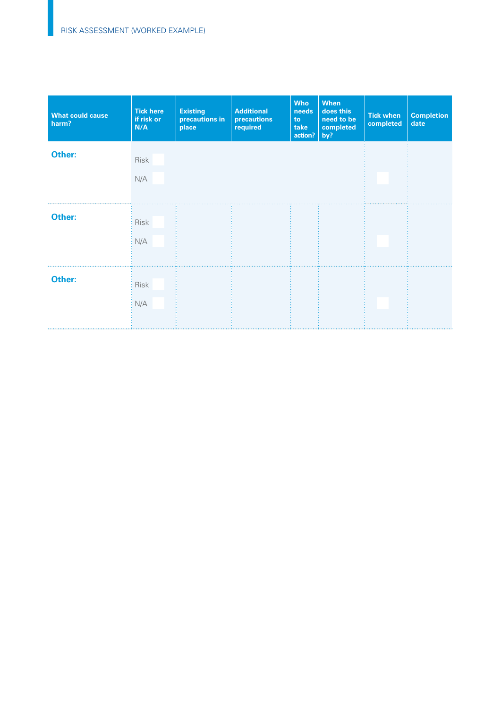| <b>What could cause</b><br>harm? | <b>Tick here</b><br>if risk or<br>N/A | <b>Existing</b><br>precautions in<br>place | <b>Additional</b><br>precautions<br>required | <b>Who</b><br>needs<br>to<br>take<br>action? | When<br>does this<br>need to be<br>completed<br>by? | <b>Tick when</b><br>completed | <b>Completion</b><br>date |
|----------------------------------|---------------------------------------|--------------------------------------------|----------------------------------------------|----------------------------------------------|-----------------------------------------------------|-------------------------------|---------------------------|
| Other:                           | <b>Risk</b><br>N/A                    |                                            |                                              |                                              |                                                     |                               |                           |
| Other:                           | Risk<br>N/A                           |                                            |                                              |                                              |                                                     |                               |                           |
| Other:                           | Risk<br>N/A                           |                                            |                                              |                                              |                                                     |                               |                           |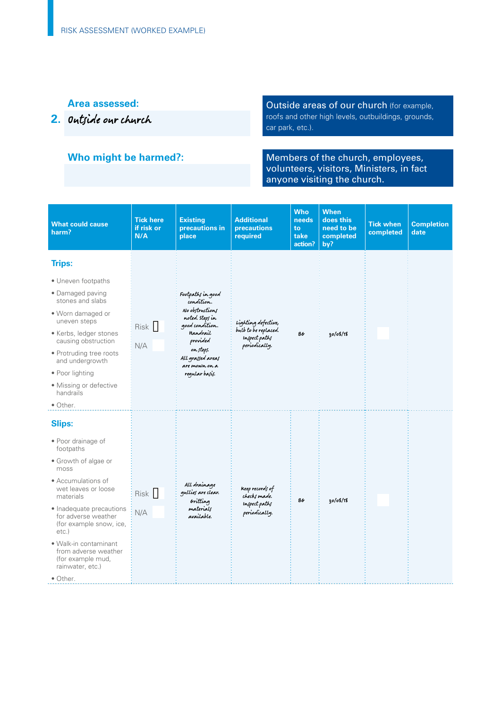### **Area assessed:**

**2.** Outside our church

## **Who might be harmed?:**

Outside areas of our church (for example, roofs and other high levels, outbuildings, grounds, car park, etc.).

Members of the church, employees, volunteers, visitors, Ministers, in fact anyone visiting the church.

| <b>What could cause</b><br>harm?                                                                                                                                                                                                                                                                                                           | <b>Tick here</b><br>if risk or<br>N/A | <b>Existing</b><br>precautions in<br>place                                                                                                                                            | <b>Additional</b><br>precautions<br>required                                  | <b>Who</b><br>needs<br>to<br>take<br>action? | <b>When</b><br>does this<br>need to be<br>completed<br>by? | <b>Tick when</b><br>completed | <b>Completion</b><br>date |
|--------------------------------------------------------------------------------------------------------------------------------------------------------------------------------------------------------------------------------------------------------------------------------------------------------------------------------------------|---------------------------------------|---------------------------------------------------------------------------------------------------------------------------------------------------------------------------------------|-------------------------------------------------------------------------------|----------------------------------------------|------------------------------------------------------------|-------------------------------|---------------------------|
| <b>Trips:</b><br>• Uneven footpaths<br>• Damaged paving<br>stones and slabs<br>• Worn damaged or<br>uneven steps<br>• Kerbs, ledger stones<br>causing obstruction<br>• Protruding tree roots<br>and undergrowth<br>• Poor lighting<br>• Missing or defective<br>handrails                                                                  | Risk   <br>N/A                        | Footpaths in good<br>condition.<br>No obstructions<br>noted. Steps in<br>good condition.<br>Handrail<br>provided<br>on steps.<br>All grassed areas<br>are mown on a<br>regular basis. | Lighting defective,<br>bulb to be replaced.<br>Inspect paths<br>periodically. | BG                                           | 30/08/18                                                   |                               |                           |
| • Other.<br><b>Slips:</b><br>• Poor drainage of<br>footpaths<br>• Growth of algae or<br>moss<br>• Accumulations of<br>wet leaves or loose<br>materials<br>• Inadequate precautions<br>for adverse weather<br>(for example snow, ice,<br>$etc.$ )<br>• Walk-in contaminant<br>from adverse weather<br>(for example mud,<br>rainwater, etc.) | Risk  <br>N/A                         | All drainage<br>gullies are clear.<br>Gritting<br>materials<br>available.                                                                                                             | Keep records of<br>checks made.<br>Inspect paths<br>periodically.             | B6                                           | 30/08/18                                                   |                               |                           |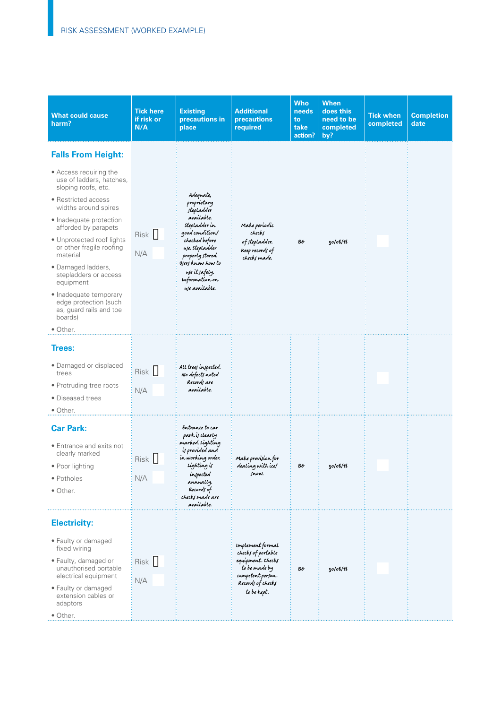| <b>What could cause</b><br>harm?                                                                                                                                                                                                                                                                                                                                                                                                               | <b>Tick here</b><br>if risk or<br>N/A | <b>Existing</b><br>precautions in<br>place                                                                                                                                                                                         | <b>Additional</b><br>precautions<br>required                                                                                                 | <b>Who</b><br>needs<br>to<br>take<br>action? | <b>When</b><br>does this<br>need to be<br>completed<br>by? | <b>Tick when</b><br>completed | <b>Completion</b><br>date |
|------------------------------------------------------------------------------------------------------------------------------------------------------------------------------------------------------------------------------------------------------------------------------------------------------------------------------------------------------------------------------------------------------------------------------------------------|---------------------------------------|------------------------------------------------------------------------------------------------------------------------------------------------------------------------------------------------------------------------------------|----------------------------------------------------------------------------------------------------------------------------------------------|----------------------------------------------|------------------------------------------------------------|-------------------------------|---------------------------|
| <b>Falls From Height:</b><br>• Access requiring the<br>use of ladders, hatches,<br>sloping roofs, etc.<br>• Restricted access<br>widths around spires<br>• Inadequate protection<br>afforded by parapets<br>• Unprotected roof lights<br>or other fragile roofing<br>material<br>· Damaged ladders,<br>stepladders or access<br>equipment<br>• Inadequate temporary<br>edge protection (such<br>as, guard rails and toe<br>boards)<br>• Other. | Risk I<br>N/A                         | Adequate,<br>proprietary<br>stepladder<br>available.<br>stepladder in<br>good condition/<br>checked before<br>use. stepladder<br>properly stored.<br>Users know how to<br>we it safely.<br><b>Information</b> on<br>use available. | Make periodic<br>checks<br>of stepladder.<br>Keep records of<br>checks made.                                                                 | 86                                           | 30/08/18                                                   |                               |                           |
| Trees:<br>• Damaged or displaced<br>trees<br>• Protruding tree roots<br>• Diseased trees<br>• Other.                                                                                                                                                                                                                                                                                                                                           | Risk  <br>N/A                         | All trees inspected.<br>No defects noted<br>Records are<br>available.                                                                                                                                                              |                                                                                                                                              |                                              |                                                            |                               |                           |
| <b>Car Park:</b><br>• Entrance and exits not<br>clearly marked<br>$\bullet$ Poor lighting<br>• Potholes<br>• Other.                                                                                                                                                                                                                                                                                                                            | Risk   <br>N/A                        | Entrance to car<br>park is clearly<br>marked. Lighting<br>is provided and<br>in working order.<br>Lighting is<br>inspected<br>annually.<br>Records of<br>checks made are<br>available.                                             | Make provision for<br>dealing with ice/<br>snow.                                                                                             | ВG                                           | 30/08/18                                                   |                               |                           |
| <b>Electricity:</b><br>• Faulty or damaged<br>fixed wiring<br>• Faulty, damaged or<br>unauthorised portable<br>electrical equipment<br>• Faulty or damaged<br>extension cables or<br>adaptors<br>• Other.                                                                                                                                                                                                                                      | Risk  <br>N/A                         |                                                                                                                                                                                                                                    | <b>Implement</b> formal<br>checks of portable<br>equipment. Checks<br>to be made by<br>competent person.<br>Records of checks<br>to be kept. | ВG                                           | 30/08/18                                                   |                               |                           |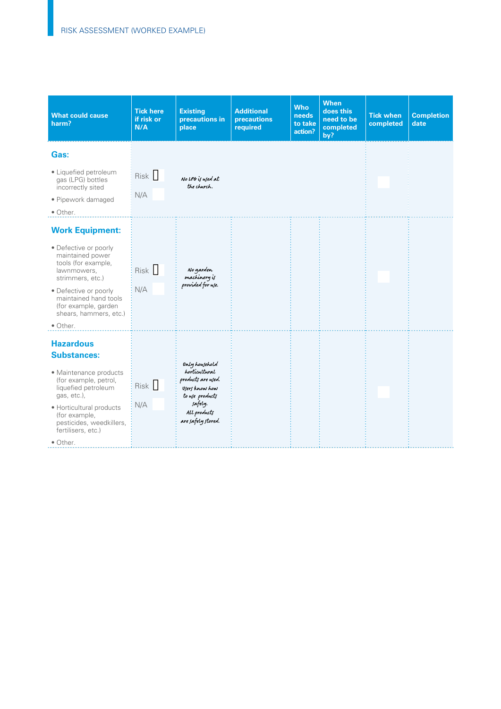| <b>What could cause</b><br>harm?                                                                                                                                                                                                              | <b>Tick here</b><br>if risk or<br>N/A | <b>Existing</b><br>precautions in<br>place                                                                                                 | <b>Additional</b><br><b>precautions</b><br>required | <b>Who</b><br>needs<br>to take<br>action? | <b>When</b><br>does this<br>need to be<br>completed<br>by? | <b>Tick when</b><br>completed | <b>Completion</b><br>date |
|-----------------------------------------------------------------------------------------------------------------------------------------------------------------------------------------------------------------------------------------------|---------------------------------------|--------------------------------------------------------------------------------------------------------------------------------------------|-----------------------------------------------------|-------------------------------------------|------------------------------------------------------------|-------------------------------|---------------------------|
| Gas:                                                                                                                                                                                                                                          |                                       |                                                                                                                                            |                                                     |                                           |                                                            |                               |                           |
| · Liquefied petroleum<br>gas (LPG) bottles<br>incorrectly sited                                                                                                                                                                               | Risk I                                | No LPG is wed at<br>the church.                                                                                                            |                                                     |                                           |                                                            |                               |                           |
| • Pipework damaged<br>• Other.                                                                                                                                                                                                                | N/A                                   |                                                                                                                                            |                                                     |                                           |                                                            |                               |                           |
| <b>Work Equipment:</b><br>• Defective or poorly<br>maintained power<br>tools (for example,<br>lawnmowers,<br>strimmers, etc.)<br>• Defective or poorly<br>maintained hand tools<br>(for example, garden<br>shears, hammers, etc.)<br>• Other. | Risk   <br>N/A                        | No garden<br>machinery is<br>provided for use.                                                                                             |                                                     |                                           |                                                            |                               |                           |
| <b>Hazardous</b><br><b>Substances:</b><br>• Maintenance products<br>(for example, petrol,<br>liquefied petroleum<br>gas, etc.),<br>· Horticultural products<br>(for example,<br>pesticides, weedkillers,<br>fertilisers, etc.)<br>• Other.    | Risk  <br>N/A                         | Only howehold<br>horticultural<br>products are used.<br>Users know how<br>to use products<br>safely.<br>All products<br>are safely stored. |                                                     |                                           |                                                            |                               |                           |